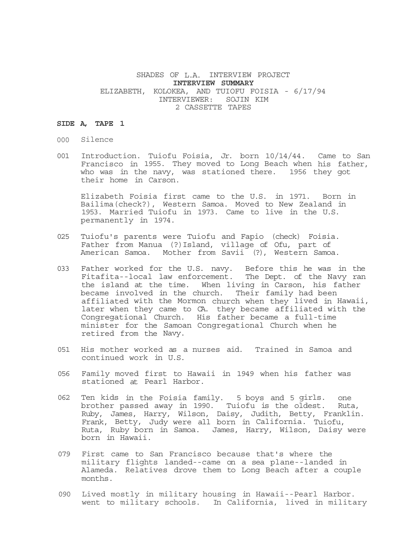# SHADES OF L.A. INTERVIEW PROJECT **INTERVIEW SUMMARY**  ELIZABETH, KOLOKEA, AND TUIOFU FOISIA - 6/17/94 INTERVIEWER: SOJIN KIM 2 CASSETTE TAPES

## **SIDE A, TAPE 1**

- 000 Silence
- 001 Introduction. Tuiofu Foisia, Jr. born 10/14/44. Came to San Francisco in 1955. They moved to Long Beach when his father, who was in the navy, was stationed there. 1956 they got their home in Carson.

Elizabeth Foisia first came to the U.S. in 1971. Born in Bailima(check?), Western Samoa. Moved to New Zealand in 1953. Married Tuiofu in 1973. Came to live in the U.S. permanently in 1974.

- 025 Tuiofu's parents were Tuiofu and Fapio (check) Foisia. Father from Manua (?)Island, village of Ofu, part of American Samoa. Mother from Savii (?), Western Samoa.
- 033 Father worked for the U.S. navy. Before this he was in the Fitafita--local law enforcement. The Dept. of the Navy ran the island at the time. When living in Carson, his father became involved in the church. Their family had been affiliated with the Mormon church when they lived in Hawaii, later when they came to CA. they became affiliated with the Congregational Church. His father became a full-time minister for the Samoan Congregational Church when he retired from the Navy.
- 051 His mother worked as a nurses aid. Trained in Samoa and continued work in U.S.
- 056 Family moved first to Hawaii in 1949 when his father was stationed at Pearl Harbor.
- 062 Ten kids in the Foisia family. 5 boys and 5 girls. one brother passed away in 1990. Tuiofu is the oldest. Ruta, Ruby, James, Harry, Wilson, Daisy, Judith, Betty, Franklin. Frank, Betty, Judy were all born in California. Tuiofu, Ruta, Ruby born in Samoa. James, Harry, Wilson, Daisy were born in Hawaii.
- 079 First came to San Francisco because that's where the military flights landed--came on a sea plane--landed in Alameda. Relatives drove them to Long Beach after a couple months.
- 090 Lived mostly in military housing in Hawaii--Pearl Harbor. went to military schools. In California, lived in military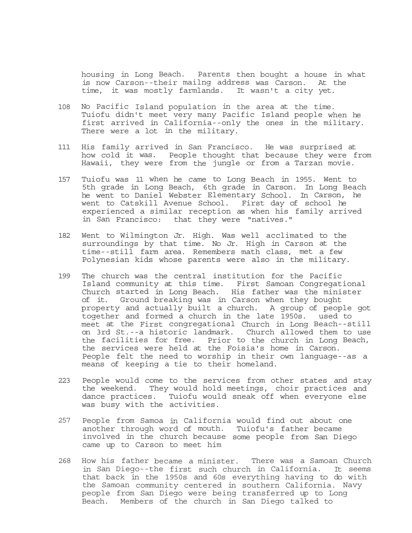housing in Long Beach. Parents then bought a house in what is now Carson--their mailng address was Carson. At the time, it was mostly farmlands. It wasn't a city yet.

- 108 No Pacific Island population in the area at the time. Tuiofu didn't meet very many Pacific Island people when he first arrived in California--only the ones in the military. There were a lot in the military.
- 111 His family arrived in San Francisco. He was surprised at how cold it was. People thought that because they were from Hawaii, they were from the jungle or from a Tarzan movie.
- 157 Tuiofu was 11 when he came to Long Beach in 1955. Went to 5th grade in Long Beach, 6th grade in Carson. In Long Beach he went to Daniel Webster Elementary School. In Carson, he went to Catskill Avenue School. First day of school he experienced a similar reception as when his family arrived in San Francisco: that they were "natives."
- 182 Went to Wilmington Jr. High. Was well acclimated to the surroundings by that time. No Jr. High in Carson at the time--still farm area. Remembers math class, met a few Polynesian kids whose parents were also in the military.
- 199 The church was the central institution for the Pacific Island community at this time. First Samoan Congregational Church started in Long Beach. His father was the minister of it. Ground breaking was in Carson when they bought property and actually built a church. A group of people got together and formed a church in the late 1950s. used to meet at the First congregational Church in Long Beach--still on 3rd St.--a historic landmark. Church allowed them to use the facilities for free. Prior to the church in Long Beach, the services were held at the Foisia's home in Carson. People felt the need to worship in their own language--as a means of keeping a tie to their homeland.
- 223 People would come to the services from other states and stay the weekend. They would hold meetings, choir practices and dance practices. Tuiofu would sneak off when everyone else was busy with the activities.
- 257 People from Samoa in California would find out about one another through word of mouth. Tuiofu's father became involved in the church because some people from San Diego came up to Carson to meet him
- 268 How his father became a minister. There was a Samoan Church in San Diego--the first such church in California. It seems that back in the 1950s and 60s everything having to do with the Samoan community centered in southern California. Navy people from San Diego were being transferred up to Long Beach. Members of the church in San Diego talked to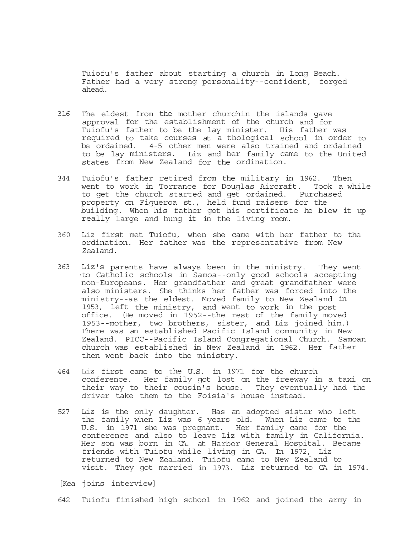Tuiofu's father about starting a church in Long Beach. Father had a very strong personality--confident, forged ahead.

- 316 The eldest from the mother churchin the islands gave approval for the establishment of the church and for Tuiofu's father to be the lay minister. His father was required to take courses at a thological school in order to be ordained. 4-5 other men were also trained and ordained to be lay ministers. Liz and her family came to the United states from New Zealand for the ordination.
- 344 Tuiofu's father retired from the military in 1962. Then went to work in Torrance for Douglas Aircraft. Took a while to get the church started and get ordained. Purchased property on Figueroa st., held fund raisers for the building. When his father got his certificate he blew it up really large and hung it in the living room.
- 360 Liz first met Tuiofu, when she came with her father to the ordination. Her father was the representative from New Zealand.
- 363 Liz's parents have always been in the ministry. They went ·to Catholic schools in Samoa--only good schools accepting non-Europeans. Her grandfather and great grandfather were also ministers. She thinks her father was forced into the ministry--as the eldest. Moved family to New Zealand in 1953, left the ministry, and went to work in the post office. (He moved in 1952--the rest of the family moved 1953--mother, two brothers, sister, and Liz joined him.) There was an established Pacific Island community in New Zealand. PICC--Pacific Island Congregational Church. Samoan church was established in New Zealand in 1962. Her father then went back into the ministry.
- 464 Liz first came to the U.S. in 1971 for the church conference. Her family got lost on the freeway in a taxi on their way to their cousin's house. They eventually had the driver take them to the Foisia's house instead.
- 527 Liz is the only daughter. Has an adopted sister who left the family when Liz was 6 years old. When Liz came to the U.S. in 1971 she was pregnant. Her family came for the conference and also to leave Liz with family in California. Her son was born in CA. at Harbor General Hospital. Became friends with Tuiofu while living in CA. In 1972, Liz returned to New Zealand. Tuiofu came to New Zealand to visit. They got married in 1973. Liz returned to CA in 1974.

[Kea joins interview]

642 Tuiofu finished high school in 1962 and joined the army in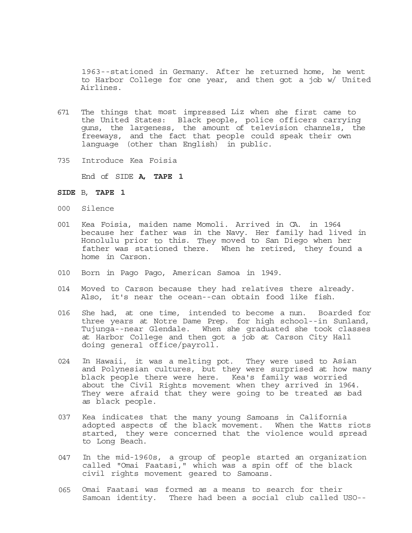1963--stationed in Germany. After he returned home, he went to Harbor College for one year, and then got a job w/ United Airlines.

- 671 The things that most impressed Liz when she first came to the United States: Black people, police officers carrying guns, the largeness, the amount of television channels, the freeways, and the fact that people could speak their own language (other than English) in public.
- 735 Introduce Kea Foisia

End of SIDE **A, TAPE 1** 

# **SIDE** B, **TAPE 1**

- 000 Silence
- 001 Kea Foisia, maiden name Momoli. Arrived in CA. in 1964 because her father was in the Navy. Her family had lived in Honolulu prior to this. They moved to San Diego when her father was stationed there. When he retired, they found a home in Carson.
- 010 Born in Pago Pago, American Samoa in 1949.
- 014 Moved to Carson because they had relatives there already. Also, it's near the ocean--can obtain food like fish.
- 016 She had, at one time, intended to become a nun. Boarded for three years at Notre Dame Prep. for high school--in Sunland, Tujunga--near Glendale. When she graduated she took classes at Harbor College and then got a job at Carson City Hall doing general office/payroll.
- 024 In Hawaii, it was a melting pot. They were used to Asian and Polynesian cultures, but they were surprised at how many black people there were here. Kea's family was worried about the Civil Rights movement when they arrived in 1964. They were afraid that they were going to be treated as bad as black people.
- 037 Kea indicates that the many young Samoans in California adopted aspects of the black movement. When the Watts riots started, they were concerned that the violence would spread to Long Beach.
- 047 In the mid-1960s, a group of people started an organization called "Omai Faatasi," which was a spin off of the black civil rights movement geared to Samoans.
- 065 Omai Faatasi was formed as a means to search for their Samoan identity. There had been a social club called USO--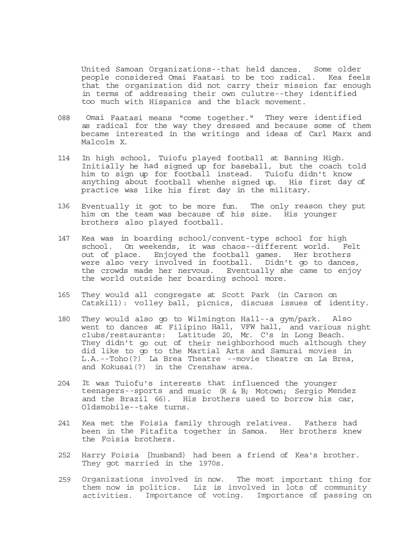United Samoan Organizations--that held dances. Some older people considered Omai Faatasi to be too radical. Kea feels that the organization did not carry their mission far enough in terms of addressing their own culutre--they identified too much with Hispanics and the black movement.

- 088 Omai Faatasi means "come together." They were identified as radical for the way they dressed and because some of them became interested in the writings and ideas of Carl Marx and Malcolm X.
- 114 In high school, Tuiofu played football at Banning High. Initially he had signed up for baseball, but the coach told him to sign up for football instead. Tuiofu didn't know anything about football whenhe signed up. His first day of practice was like his first day in the military.
- 136 Eventually it got to be more fun. The only reason they put him on the team was because of his size. His younger brothers also played football.
- 147 Kea was in boarding school/convent-type school for high school. On weekends, it was chaos--different world. Felt out of place. Enjoyed the football games. Her brothers were also very involved in football. Didn't go to dances, the crowds made her nervous. Eventually she came to enjoy the world outside her boarding school more.
- 165 They would all congregate at Scott Park (in Carson on Catskill): volley ball, picnics, discuss issues of identity.
- 180 They would also go to Wilmington Hall--a gym/park. Also went to dances at Filipino Hall, VFW hall, and various night clubs/restaurants: Latitude 20, Mr. C's in Long Beach. They didn't go out of their neighborhood much although they did like to go to the Martial Arts and Samurai movies in L.A.--Toho(?) La Brea Theatre --movie theatre on La Brea, and Kokusai(?) in the Crenshaw area.
- 204 It was Tuiofu's interests that influenced the younger teenagers--sports and music (R & B; Motown; Sergio Mendez and the Brazil 66). His brothers used to borrow his car, Oldsmobile--take turns.
- 241 Kea met the Foisia family through relatives. Fathers had been in the Fitafita together in Samoa. Her brothers knew the Foisia brothers.
- 252 Harry Foisia [husband) had been a friend of Kea's brother. They got married in the 1970s.
- 259 Organizations involved in now. The most important thing for them now is politics. Liz is involved in lots of community activities. Importance of voting. Importance of passing on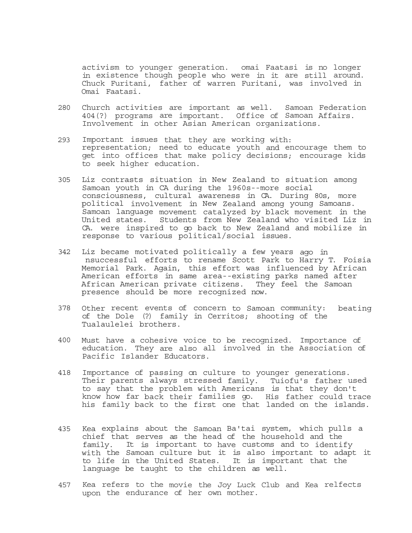activism to younger generation. omai Faatasi is no longer in existence though people who were in it are still around. Chuck Furitani, father of warren Furitani, was involved in Omai Faatasi.

- 280 Church activities are important as well. Samoan Federation 404(?) programs are important. Office of Samoan Affairs. Involvement in other Asian American organizations.
- 293 Important issues that they are working with: representation; need to educate youth and encourage them to get into offices that make policy decisions; encourage kids to seek higher education.
- 305 Liz contrasts situation in New Zealand to situation among Samoan youth in CA during the 1960s--more social consciousness, cultural awareness in CA. During 80s, more political involvement in New Zealand among young Samoans. Samoan language movement catalyzed by black movement in the United states. Students from New Zealand who visited Liz in CA. were inspired to go back to New Zealand and mobilize in response to various political/social issues.
- 342 Liz became motivated politically a few years ago in nsuccessful efforts to rename Scott Park to Harry T. Foisia Memorial Park. Again, this effort was influenced by African American efforts in same area--existing parks named after African American private citizens. They feel the Samoan presence should be more recognized now.
- 378 Other recent events of concern to Samoan community: beating of the Dole (?) family in Cerritos; shooting of the Tualaulelei brothers.
- 400 Must have a cohesive voice to be recognized. Importance of education. They are also all involved in the Association of Pacific Islander Educators.
- 418 Importance of passing on culture to younger generations. Their parents always stressed family. Tuiofu's father used to say that the problem with Americans is that they don't know how far back their families go. His father could trace his family back to the first one that landed on the islands.
- 435 Kea explains about the Samoan Ba'tai system, which pulls a chief that serves as the head of the household and the family. It is important to have customs and to identify with the Samoan culture but it is also important to adapt it to life in the United States. It is important that the language be taught to the children as well.
- 457 Kea refers to the movie the Joy Luck Club and Kea relfects upon the endurance of her own mother.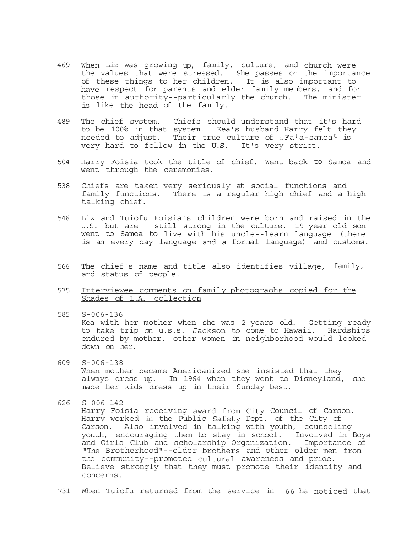- 469 When Liz was growing up, family, culture, and church were the values that were stressed. She passes on the importance of these things to her children. It is also important to have respect for parents and elder family members, and for those in authority--particularly the church. The minister is like the head of the family.
- 489 The chief system. Chiefs should understand that it's hard to be 100% in that system. Kea's husband Harry felt they needed to adjust. Their true culture of  $_{\text{II}}$  Fa<sup>1</sup> a-samoa<sup>11</sup> is very hard to follow in the U.S. It's very strict.
- 504 Harry Foisia took the title of chief. Went back to Samoa and went through the ceremonies.
- 538 Chiefs are taken very seriously at social functions and family functions. There is a regular high chief and a high talking chief.
- 546 Liz and Tuiofu Foisia's children were born and raised in the U.S. but are still strong in the culture. 19-year old son went to Samoa to live with his uncle--learn language (there is an every day language and a formal language) and customs.
- 566 The chief's name and title also identifies village, family, and status of people.
- 575 Interviewee comments on family photograohs copied for the Shades of L.A. collection
- 585 S-006-136 Kea with her mother when she was 2 years old. Getting ready to take trip on u.s.s. Jackson to come to Hawaii. Hardships endured by mother. other women in neighborhood would looked down on her.
- 609 S-006-138 When mother became Americanized she insisted that they always dress up. In 1964 when they went to Disneyland, she made her kids dress up in their Sunday best.
- 626 S-006-142

Harry Foisia receiving award from City Council of Carson. Harry worked in the Public Safety Dept. of the City of Carson. Also involved in talking with youth, counseling youth, encouraging them to stay in school. Involved in Boys and Girls Club and scholarship Organization. Importance of "The Brotherhood"--older brothers and other older men from the community--promoted cultural awareness and pride. Believe strongly that they must promote their identity and concerns.

731 When Tuiofu returned from the service in  $166$  he noticed that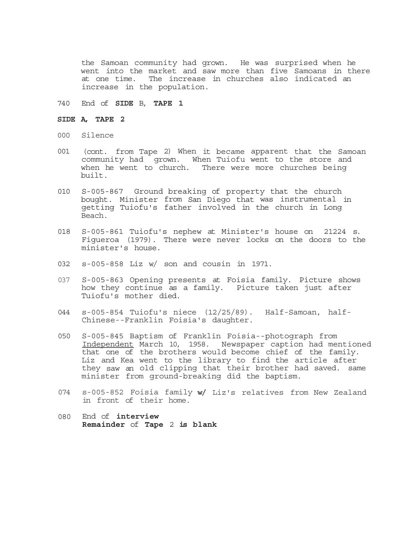the Samoan community had grown. He was surprised when he went into the market and saw more than five Samoans in there<br>at one time. The increase in churches also indicated an The increase in churches also indicated an increase in the population.

### 740 End of **SIDE** B, **TAPE 1**

#### **SIDE A, TAPE 2**

- 000 Silence
- 001 (cont. from Tape 2) When it became apparent that the Samoan community had grown. When Tuiofu went to the store and when he went to church. There were more churches being built.
- 010 S-005-867 Ground breaking of property that the church bought. Minister from San Diego that was instrumental in getting Tuiofu's father involved in the church in Long Beach.
- 018 S-005-861 Tuiofu's nephew at Minister's house on 21224 s. Figueroa (1979). There were never locks on the doors to the minister's house.
- 032 s-005-858 Liz w/ son and cousin in 1971.
- 037 S-005-863 Opening presents at Foisia family. Picture shows how they continue as a family. Picture taken just after Tuiofu's mother died.
- 044 s-005-854 Tuiofu's niece (12/25/89). Half-Samoan, half-Chinese--Franklin Foisia's daughter.
- 050 S-005-845 Baptism of Franklin Foisia--photograph from Independent March 10, 1958. Newspaper caption had mentioned that one of the brothers would become chief of the family. Liz and Kea went to the library to find the article after they saw an old clipping that their brother had saved. same minister from ground-breaking did the baptism.
- 074 s-005-852 Foisia family **w/** Liz's relatives from New Zealand in front of their home.
- 080 End of **interview Remainder** of **Tape** 2 **is blank**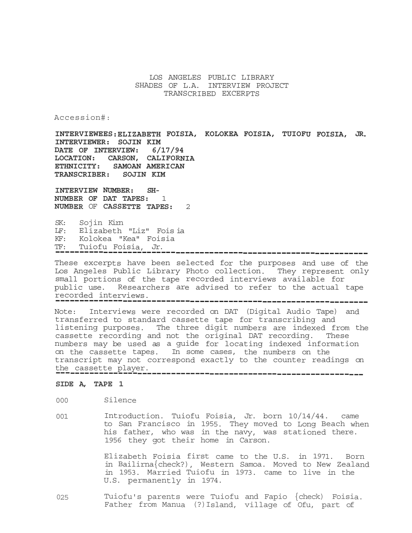# LOS ANGELES PUBLIC LIBRARY SHADES OF L.A. INTERVIEW PROJECT TRANSCRIBED EXCERPTS

Accession#:

**INTERVIEWEES:ELIZABETH FOISIA, KOLOKEA FOISIA, TUIOFU FOISIA, JR. INTERVIEWER: SOJIN KIM DATE OF INTERVIEW: 6/17/94 LOCATION: CARSON, CALIFORNIA ETHNICITY: SAMOAN AMERICAN TRANSCRIBER: SOJIN KIM** 

**INTERVIEW NUMBER: SH-NUMBER OF DAT TAPES:** 1 **NUMBER** OF **CASSETTE TAPES:** 2

SK: Sojin Kim LF: Elizabeth "Liz" Fois ia KF: Kolokea "Kea" Foisia TF: Tuiofu Foisia, Jr. -----------------------------------------------------------------

These excerpts have been selected for the purposes and use of the Los Angeles Public Library Photo collection. They represent only small portions of the tape recorded interviews available for public use. Researchers are advised to refer to the actual tape recorded interviews. -----------------------------------------------------------------

Note: Interviews were recorded on DAT (Digital Audio Tape) and transferred to standard cassette tape for transcribing and listening purposes. The three digit numbers are indexed from the cassette recording and not the original DAT recording. These numbers may be used as a guide for locating indexed information on the cassette tapes. In some cases, the numbers on the transcript may not correspond exactly to the counter readings on the cassette player. ----------------------------------------------------------------

## **SIDE A, TAPE 1**

000 Silence

001 Introduction. Tuiofu Foisia, Jr. born 10/14/44. came to San Francisco in 1955. They moved to Long Beach when his father, who was in the navy, was stationed there. 1956 they got their home in Carson.

> Elizabeth Foisia first came to the U.S. in 1971. Born in Bailirna{check?), Western Samoa. Moved to New Zealand in 1953. Married Tuiofu in 1973. came to live in the U.S. permanently in 1974.

025 Tuiofu's parents were Tuiofu and Fapio {check) Foisia. Father from Manua (?)Island, village of Ofu, part of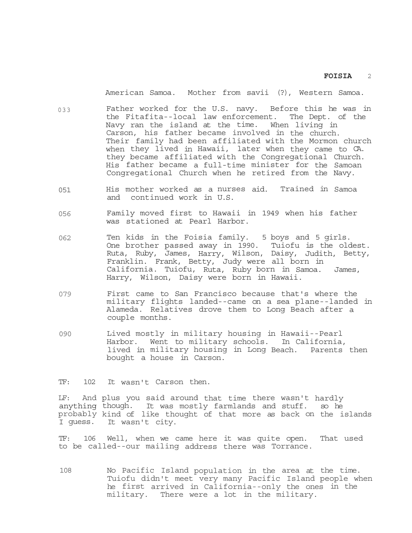American Samoa. Mother from savii (?), Western Samoa.

- 033 Father worked for the U.S. navy. Before this he was in the Fitafita--local law enforcement. The Dept. of the Navy ran the island at the time. When living in Carson, his father became involved in the church. Their family had been affiliated with the Mormon church when they lived in Hawaii, later when they came to CA. they became affiliated with the Congregational Church. His father became a full-time minister for the Samoan Congregational Church when he retired from the Navy.
- 051 His mother worked as a nurses aid. Trained in Samoa and continued work in U.S.
- 056 Family moved first to Hawaii in 1949 when his father was stationed at Pearl Harbor.
- 062 Ten kids in the Foisia family. 5 boys and 5 girls. One brother passed away in 1990. Tuiofu is the oldest. Ruta, Ruby, James, Harry, Wilson, Daisy, Judith, Betty, Franklin. Frank, Betty, Judy were all born in California. Tuiofu, Ruta, Ruby born in Samoa. James, Harry, Wilson, Daisy were born in Hawaii.
- 079 First came to San Francisco because that's where the military flights landed--came on a sea plane--landed in Alameda. Relatives drove them to Long Beach after a couple months.
- 090 Lived mostly in military housing in Hawaii--Pearl Harbor. Went to military schools. In California, lived in military housing in Long Beach. Parents then bought a house in Carson.

TF: 102 It wasn't Carson then.

LF: And plus you said around that time there wasn't hardly anything though. It was mostly farmlands and stuff. so he probably kind of like thought of that more as back on the islands I guess. It wasn't city.

TF: 106 Well, when we came here it was quite open. That used to be called--our mailing address there was Torrance.

108 No Pacific Island population in the area at the time. Tuiofu didn't meet very many Pacific Island people when he first arrived in California--only the ones in the military. There were a lot in the military.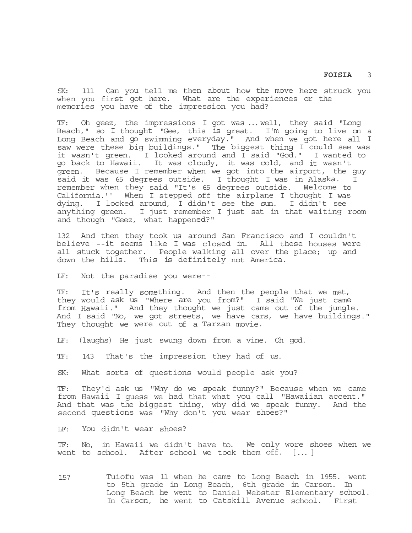SK: 111 Can you tell me then about how the move here struck you when you first got here. What are the experiences or the memories you have of the impression you had?

TF: Oh geez, the impressions I got was ... well, they said "Long Beach," so I thought "Gee, this is great. I'm going to live on a Long Beach and go swimming everyday." And when we got here all I saw were these big buildings." The biggest thing I could see was it wasn't green. I looked around and I said "God." I wanted to go back to Hawaii. It was cloudy, it was cold, and it wasn't green. Because I remember when we got into the airport, the guy said it was 65 degrees outside. I thought I was in Alaska. remember when they said "It's 65 degrees outside. Welcome to California.'' When I stepped off the airplane I thought I was dying. I looked around, I didn't see the sun. I didn't see anything green. I just remember I just sat in that waiting room and though "Geez, what happened?"

132 And then they took us around San Francisco and I couldn't believe --it seems like I was closed in. All these houses were all stuck together. People walking all over the place; up and down the hills. This is definitely not America.

LF: Not the paradise you were--

TF: It's really something. And then the people that we met, they would ask us "Where are you from?" I said "We just came from Hawaii." And they thought we just came out of the jungle. And I said "No, we got streets, we have cars, we have buildings." They thought we were out of a Tarzan movie.

LF: (laughs) He just swung down from a vine. Oh god.

TF: 143 That's the impression they had of us.

SK: What sorts of questions would people ask you?

TF: They'd ask us "Why do we speak funny?" Because when we came from Hawaii I guess we had that what you call "Hawaiian accent." And that was the biggest thing, why did we speak funny. And the second questions was "Why don't you wear shoes?"

LF: You didn't wear shoes?

TF: No, in Hawaii we didn't have to. We only wore shoes when we went to school. After school we took them off. [ ... ]

157 Tuiofu was 11 when he came to Long Beach in 1955. went to 5th grade in Long Beach, 6th grade in Carson. In Long Beach he went to Daniel Webster Elementary school. In Carson, he went to Catskill Avenue school. First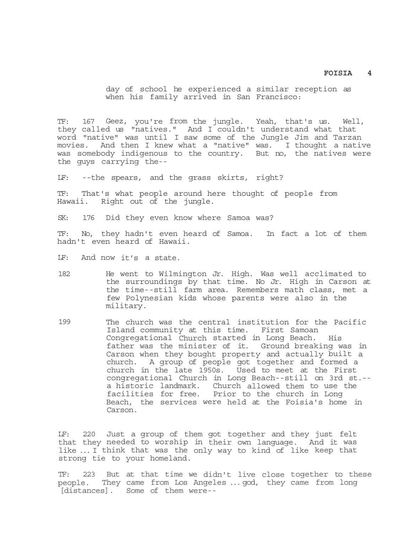day of school he experienced a similar reception as when his family arrived in San Francisco:

TF: 167 Geez, you're from the jungle. Yeah, that's us. Well, they called us "natives." And I couldn't understand what that word "native" was until I saw some of the Jungle Jim and Tarzan movies. And then I knew what a "native" was. I thought a native was somebody indigenous to the country. But no, the natives were the guys carrying the--

LF: --the spears, and the grass skirts, right?

TF: That's what people around here thought of people from Hawaii. Right out of the jungle.

SK: 176 Did they even know where Samoa was?

TF: No, they hadn't even heard of Samoa. In fact a lot of them hadn't even heard of Hawaii.

LF: And now it's a state.

- 182 He went to Wilmington Jr. High. Was well acclimated to the surroundings by that time. No Jr. High in Carson at the time--still farm area. Remembers math class, met a few Polynesian kids whose parents were also in the military.
- 199 The church was the central institution for the Pacific Island community at this time. First Samoan Congregational Church started in Long Beach. His father was the minister of it. Ground breaking was in Carson when they bought property and actually built a church. A group of people got together and formed a church in the late 1950s. Used to meet at the First congregational Church in Long Beach--still on 3rd st.- a historic landmark. Church allowed them to use the facilities for free. Prior to the church in Long Beach, the services were held at the Foisia's home in Carson.

LF: 220 Just a group of them got together and they just felt that they needed to worship in their own language. And it was like ... I think that was the only way to kind of like keep that strong tie to your homeland.

TF: 223 But at that time we didn't live close together to these people. They came from Los Angeles ... god, they came from long [distances]. Some of them were--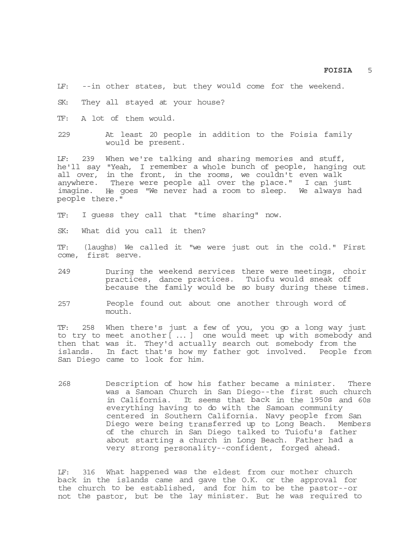LF: --in other states, but they would come for the weekend.

SK: They all stayed at your house?

TF: A lot of them would.

229 At least 20 people in addition to the Foisia family would be present.

LF: 239 When we're talking and sharing memories and stuff, he'll say "Yeah, I remember a whole bunch of people, hanging out all over, in the front, in the rooms, we couldn't even walk anywhere. There were people all over the place." I can just imagine. He goes "We never had a room to sleep. We always had people there."

TF: I guess they call that "time sharing" now.

SK: What did you call it then?

TF: (laughs) We called it "we were just out in the cold." First come, first serve.

- 249 During the weekend services there were meetings, choir practices, dance practices. Tuiofu would sneak off because the family would be so busy during these times.
- 257 People found out about one another through word of mouth.

TF: 258 When there's just a few of you, you go a long way just to try to meet another[ ... ] one would meet up with somebody and then that was it. They'd actually search out somebody from the islands. In fact that's how my father got involved. People from San Diego came to look for him.

268 Description of how his father became a minister. There was a Samoan Church in San Diego--the first such church in California. It seems that back in the 1950s and 60s everything having to do with the Samoan community centered in Southern California. Navy people from San Diego were being transferred up to Long Beach. Members of the church in San Diego talked to Tuiofu's father about starting a church in Long Beach. Father had a very strong personality--confident, forged ahead.

LF: 316 What happened was the eldest from our mother church back in the islands came and gave the O.K. or the approval for the church to be established, and for him to be the pastor--or not the pastor, but be the lay minister. But he was required to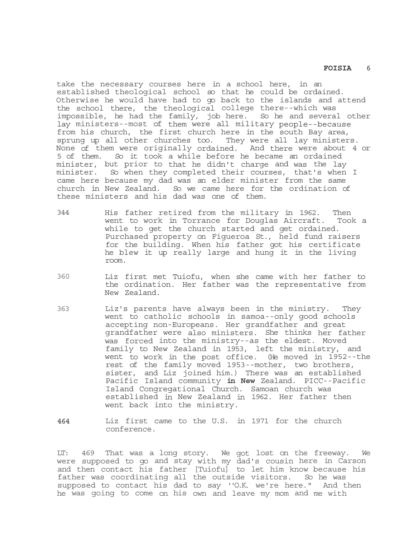take the necessary courses here in a school here, in an established theological school so that he could be ordained. Otherwise he would have had to go back to the islands and attend the school there, the theological college there--which was impossible, he had the family, job here. So he and several other lay ministers--most of them were all military people--because from his church, the first church here in the south Bay area, sprung up all other churches too. They were all lay ministers. None of them were originally ordained. And there were about 4 or 5 of them. So it took a while before he became an ordained minister, but prior to that he didn't charge and was the lay minister. So when they completed their courses, that's when I came here because my dad was an elder minister from the same church in New Zealand. So we came here for the ordination of these ministers and his dad was one of them.

- 344 His father retired from the military in 1962. Then went to work in Torrance for Douglas Aircraft. Took a while to get the church started and get ordained. Purchased property on Figueroa St., held fund raisers for the building. When his father got his certificate he blew it up really large and hung it in the living room.
- 360 Liz first met Tuiofu, when she came with her father to the ordination. Her father was the representative from New Zealand.
- 363 Liz's parents have always been in the ministry. They went to catholic schools in samoa--only good schools accepting non-Europeans. Her grandfather and great grandfather were also ministers. She thinks her father was forced into the ministry--as the eldest. Moved family to New Zealand in 1953, left the ministry, and went to work in the post office. (He moved in 1952--the rest of the family moved 1953--mother, two brothers, sister, and Liz joined him.) There was an established Pacific Island community **in New** Zealand. PICC--Pacific Island Congregational Church. Samoan church was established in New Zealand in 1962. Her father then went back into the ministry.
- **464** Liz first came to the U.S. in 1971 for the church conference.

LT: 469 That was a long story. We got lost on the freeway. We were supposed to go and stay with my dad's cousin here in Carson and then contact his father [Tuiofu] to let him know because his father was coordinating all the outside visitors. So he was supposed to contact his dad to say ''O.K. we're here." And then he was going to come on his own and leave my mom and me with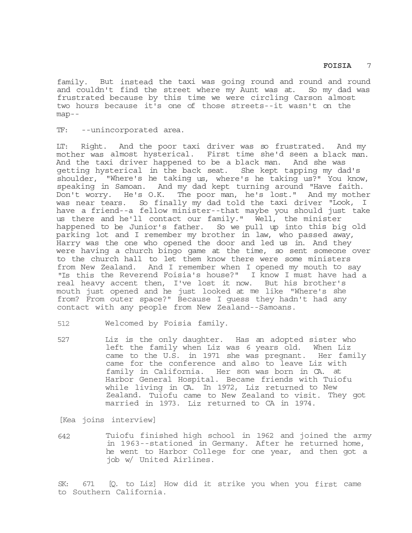family. But instead the taxi was going round and round and round and couldn't find the street where my Aunt was at. So my dad was frustrated because by this time we were circling Carson almost two hours because it's one of those streets--it wasn't on the map--

TF: --unincorporated area.

LT: Right. And the poor taxi driver was so frustrated. And my mother was almost hysterical. First time she'd seen a black man. And the taxi driver happened to be a black man. And she was getting hysterical in the back seat. She kept tapping my dad's shoulder, "Where's he taking us, where's he taking us?" You know, speaking in Samoan. And my dad kept turning around "Have faith. Don't worry. He's O.K. The poor man, he's lost." And my mother was near tears. So finally my dad told the taxi driver "Look, I have a friend--a fellow minister--that maybe you should just take us there and he'll contact our family." Well, the minister happened to be Junior's father. So we pull up into this big old parking lot and I remember my brother in law, who passed away, Harry was the one who opened the door and led us in. And they were having a church bingo game at the time, so sent someone over to the church hall to let them know there were some ministers from New Zealand. And I remember when I opened my mouth to say "Is this the Reverend Foisia's house?" I know I must have had a real heavy accent then, I've lost it now. But his brother's mouth just opened and he just looked at me like "Where's she from? From outer space?" Because I guess they hadn't had any contact with any people from New Zealand--Samoans.

512 Welcomed by Foisia family.

527 Liz is the only daughter. Has an adopted sister who left the family when Liz was 6 years old. When Liz came to the U.S. in 1971 she was pregnant. Her family came for the conference and also to leave Liz with family in California. Her son was born in CA. at Harbor General Hospital. Became friends with Tuiofu while living in CA. In 1972, Liz returned to New Zealand. Tuiofu came to New Zealand to visit. They got married in 1973. Liz returned to CA in 1974.

[Kea joins interview]

642 Tuiofu finished high school in 1962 and joined the army in 1963--stationed in Germany. After he returned home, he went to Harbor College for one year, and then got a job w/ United Airlines.

SK: 671 [Q. to Liz] How did it strike you when you first came to Southern California.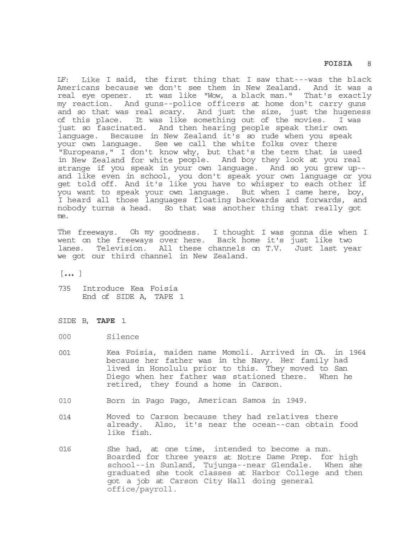LF: Like I said, the first thing that I saw that---was the black Americans because we don't see them in New Zealand. And it was a real eye opener. rt was like "Wow, a black man." That's exactly my reaction. And guns--police officers at home don't carry guns and so that was real scary. And just the size, just the hugeness of this place. It was like something out of the movies. I was just so fascinated. And then hearing people speak their own language. Because in New Zealand it's so rude when you speak your own language. See we call the white folks over there "Europeans," I don't know why, but that's the term that is used in New Zealand for white people. And boy they look at you real strange if you speak in your own language. And so you grew up- and like even in school, you don't speak your own language or you get told off. And it's like you have to whisper to each other if you want to speak your own language. But when I came here, boy, I heard all those languages floating backwards and forwards, and nobody turns a head. So that was another thing that really got me.

The freeways. Oh my goodness. I thought I was gonna die when I went on the freeways over here. Back home it's just like two lanes. Television. All these channels on T.V. Just last year we got our third channel in New Zealand.

 $[...]$ 

- 735 Introduce Kea Foisia End of SIDE A, TAPE 1
- SIDE B, **TAPE** 1
- 000 Silence
- 001 Kea Foisia, maiden name Momoli. Arrived in CA. in 1964 because her father was in the Navy. Her family had lived in Honolulu prior to this. They moved to San Diego when her father was stationed there. When he retired, they found a home in Carson.
- 010 Born in Pago Pago, American Samoa in 1949.
- 014 Moved to Carson because they had relatives there already. Also, it's near the ocean--can obtain food like fish.
- 016 She had, at one time, intended to become a nun. Boarded for three years at Notre Dame Prep. for high school--in Sunland, Tujunga--near Glendale. When she graduated she took classes at Harbor College and then got a job at Carson City Hall doing general office/payroll.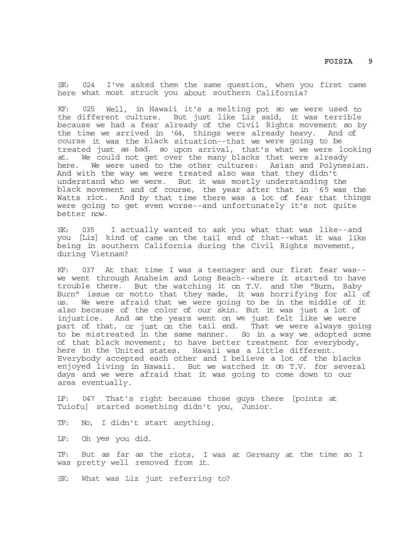SK: 024 I've asked them the same question, when you first came here what most struck you about southern California?

KF: 025 Well, in Hawaii it's a melting pot so we were used to the different culture. But just like Liz said, it was terrible because we had a fear already of the Civil Rights movement so by the time we arrived in '64, things were already heavy. And of course it was the black situation--that we were going to be treated just as bad. so upon arrival, that's what we were looking at. We could not get over the many blacks that were already here. We were used to the other cultures: Asian and Polynesian. And with the way we were treated also was that they didn't understand who we were. But it was mostly understanding the black movement and of course, the year after that in **<sup>1</sup>** 65 was the Watts riot. And by that time there was a lot of fear that things were going to get even worse--and unfortunately it's not quite better now.

SK: 035 I actually wanted to ask you what that was like--and you [Liz] kind of came on the tail end of that--what it was like being in southern California during the Civil Rights movement, during Vietnam?

KF: 037 At that time I was a teenager and our first fear was- we went through Anaheim and Long Beach--where it started to have trouble there. But the watching it on T.V. and the "Burn, Baby Burn" issue or motto that they made, it was horrifying for all of us. We were afraid that we were going to be in the middle of it also because of the color of our skin. But it was just a lot of injustice. And as the years went on we just felt like we were part of that, or just on the tail end. That we were always going to be mistreated in the same manner. So in a way we adopted some of that black movement; to have better treatment for everybody, here in the United states. Hawaii was a little different. Everybody accepted each other and I believe a lot of the blacks enjoyed living in Hawaii. But we watched it on T.V. for several days and we were afraid that it was going to come down to our area eventually.

LF: 047 That's right because those guys there [points at Tuiofu] started something didn't you, Junior.

TF: No, I didn't start anything.

LF: Oh yes you did.

TF: But as far as the riots, I was at Germany at the time so I was pretty well removed from it.

SK: What was Liz just referring to?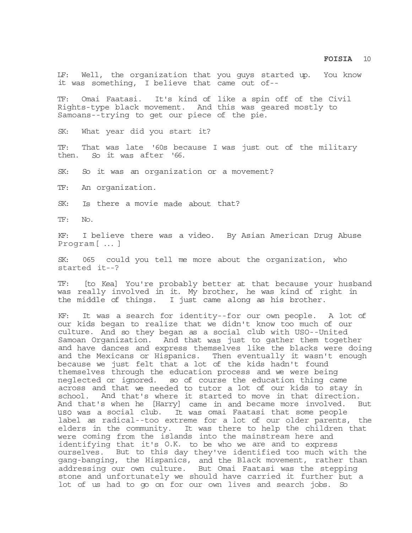LF: Well, the organization that you guys started up. You know it was something, I believe that came out of--

TF: Omai Faatasi. It's kind of like a spin off of the Civil Rights-type black movement. And this was geared mostly to Samoans--trying to get our piece of the pie.

SK: What year did you start it?

TF: That was late '60s because I was just out of the military then. So it was after '66.

SK: So it was an organization or a movement?

TF: An organization.

SK: Is there a movie made about that?

TF: No.

KF: I believe there was a video. By Asian American Drug Abuse Program[ ... ]

SK: 065 could you tell me more about the organization, who started it--?

TF: [to Kea] You're probably better at that because your husband was really involved in it. My brother, he was kind of right in the middle of things. I just came along as his brother.

KF: It was a search for identity--for our own people. A lot of our kids began to realize that we didn't know too much of our culture. And so they began as a social club with USO--United Samoan Organization. And that was just to gather them together and have dances and express themselves like the blacks were doing and the Mexicans or Hispanics. Then eventually it wasn't enough because we just felt that a lot of the kids hadn't found themselves through the education process and we were being neglected or ignored. so of course the education thing came across and that we needed to tutor a lot of our kids to stay in school. And that's where it started to move in that direction. And that's when he [Harry] came in and became more involved. But uso was a social club. It was omai Faatasi that some people label as radical--too extreme for a lot of our older parents, the elders in the community. It was there to help the children that were coming from the islands into the mainstream here and identifying that it's O.K. to be who we are and to express ourselves. But to this day they've identified too much with the gang-banging, the Hispanics, and the Black movement, rather than addressing our own culture. But Omai Faatasi was the stepping stone and unfortunately we should have carried it further but a lot of us had to go on for our own lives and search jobs. So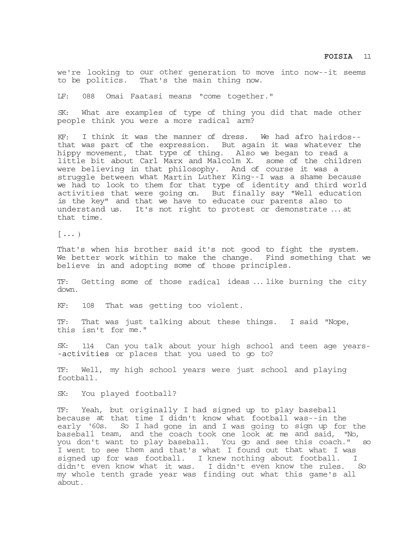we're looking to our other generation to move into now--it seems to be politics. That's the main thing now.

LF: 088 Omai Faatasi means "come together."

SK: What are examples of type of thing you did that made other people think you were a more radical arm?

KF: I think it was the manner of dress. We had afro hairdos- that was part of the expression. But again it was whatever the hippy movement, that type of thing. Also we began to read a little bit about Carl Marx and Malcolm X. some of the children were believing in that philosophy. And of course it was a struggle between what Martin Luther King--I was a shame because we had to look to them for that type of identity and third world activities that were going on. But finally say "Well education is the key" and that we have to educate our parents also to understand us. It's not right to protest or demonstrate ... at that time.

 $[\ldots]$ 

That's when his brother said it's not good to fight the system. We better work within to make the change. Find something that we believe in and adopting some of those principles.

TF: Getting some of those radical ideas ... like burning the city down.

KF: 108 That was getting too violent.

TF: That was just talking about these things. I said "Nope, this isn't for me."

SK: 114 Can you talk about your high school and teen age years- -activities or places that you used to go to?

TF: Well, my high school years were just school and playing football.

SK: You played football?

TF: Yeah, but originally I had signed up to play baseball because at that time I didn't know what football was--in the early '60s. So I had gone in and I was going to sign up for the baseball team, and the coach took one look at me and said, "No, you don't want to play baseball. You go and see this coach." so I went to see them and that's what I found out that what I was signed up for was football. I knew nothing about football. I didn't even know what it was. I didn't even know the rules. So my whole tenth grade year was finding out what this game's all about.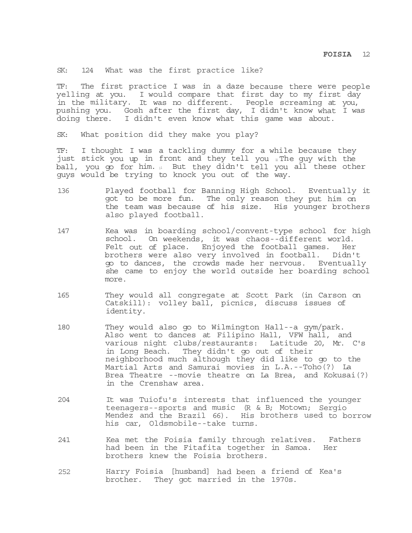SK: 124 What was the first practice like?

TF: The first practice I was in a daze because there were people yelling at you. I would compare that first day to my first day in the military. It was no different. People screaming at you, pushing you. Gosh after the first day, I didn't know what I was doing there. I didn't even know what this game was about.

SK: What position did they make you play?

TF: I thought I was a tackling dummy for a while because they just stick you up in front and they tell you *I*n The guy with the ball, you go for him. 11 But they didn't tell you all these other guys would be trying to knock you out of the way.

- 136 Played football for Banning High School. Eventually it got to be more fun. The only reason they put him on the team was because of his size. His younger brothers also played football.
- 147 Kea was in boarding school/convent-type school for high school. On weekends, it was chaos--different world. Felt out of place. Enjoyed the football games. Her brothers were also very involved in football. Didn't go to dances, the crowds made her nervous. Eventually she came to enjoy the world outside her boarding school more.
- 165 They would all congregate at Scott Park (in Carson on Catskill): volley ball, picnics, discuss issues of identity.
- 180 They would also go to Wilmington Hall--a gym/park. Also went to dances at Filipino Hall, VFW hall, and various night clubs/restaurants: Latitude 20, Mr. C's in Long Beach. They didn't go out of their neighborhood much although they did like to go to the Martial Arts and Samurai movies in L.A.--Toho(?) La Brea Theatre --movie theatre on La Brea, and Kokusai(?) in the Crenshaw area.
- 204 It was Tuiofu's interests that influenced the younger teenagers--sports and music (R & B; Motown; Sergio Mendez and the Brazil 66). His brothers used to borrow his car, Oldsmobile--take turns.
- 241 Kea met the Foisia family through relatives. Fathers had been in the Fitafita together in Samoa. Her brothers knew the Foisia brothers.
- 252 Harry Foisia [husband] had been a friend of Kea's brother. They got married in the 1970s.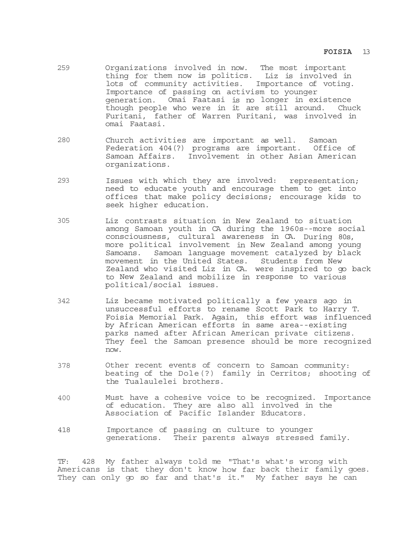- 259 Organizations involved in now. The most important thing for them now is politics. Liz is involved in lots of community activities. Importance of voting. Importance of passing on activism to younger generation. Omai Faatasi is no longer in existence though people who were in it are still around. Chuck Furitani, father of Warren Furitani, was involved in omai Faatasi.
- 280 Church activities are important as well. Samoan Federation 404(?) programs are important. Office of Samoan Affairs. Involvement in other Asian American organizations.
- 293 Issues with which they are involved: representation; need to educate youth and encourage them to get into offices that make policy decisions; encourage kids to seek higher education.
- 305 Liz contrasts situation in New Zealand to situation among Samoan youth in CA during the 1960s--more social consciousness, cultural awareness in CA. During 80s, more political involvement in New Zealand among young Samoans. Samoan language movement catalyzed by black movement in the United States. Students from New Zealand who visited Liz in CA. were inspired to go back to New Zealand and mobilize in response to various political/social issues.
- 342 Liz became motivated politically a few years ago in unsuccessful efforts to rename Scott Park to Harry T. Foisia Memorial Park. Again, this effort was influenced by African American efforts in same area--existing parks named after African American private citizens. They feel the Samoan presence should be more recognized now.
- 378 Other recent events of concern to Samoan community: beating of the Dole(?) family in Cerritos; shooting of the Tualaulelei brothers.
- 400 Must have a cohesive voice to be recognized. Importance of education. They are also all involved in the Association of Pacific Islander Educators.
- 418 Importance of passing on culture to younger generations. Their parents always stressed family.

TF: 428 My father always told me "That's what's wrong with Americans is that they don't know how far back their family goes. They can only go so far and that's it." My father says he can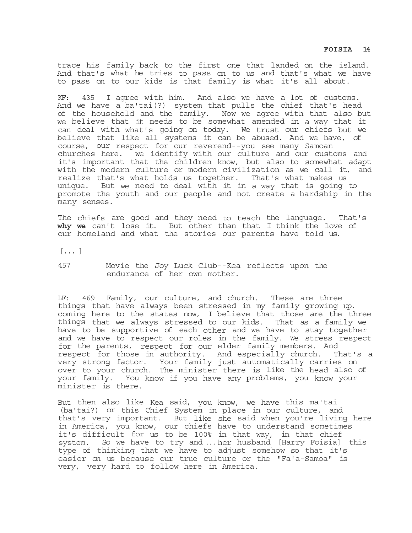trace his family back to the first one that landed on the island. And that's what he tries to pass on to us and that's what we have to pass on to our kids is that family is what it's all about.

KF: 435 I agree with him. And also we have a lot of customs. And we have a ba'tai(?) system that pulls the chief that's head of the household and the family. Now we agree with that also but we believe that it needs to be somewhat amended in a way that it can deal with what's going on today. We trust our chiefs but we believe that like all systems it can be abused. And we have, of course, our respect for our reverend--you see many Samoan churches here. we identify with our culture and our customs and it's important that the children know, but also to somewhat adapt with the modern culture or modern civilization as we call it, and realize that's what holds us together. That's what makes us unique. But we need to deal with it in a way that is going to promote the youth and our people and not create a hardship in the many senses.

The chiefs are good and they need to teach the language. That's **why we** can't lose it. But other than that I think the love of our homeland and what the stories our parents have told us.

 $[ \ldots ]$ 

457 Movie the Joy Luck Club--Kea reflects upon the endurance of her own mother.

LF: 469 Family, our culture, and church. These are three things that have always been stressed in my family growing up. coming here to the states now, I believe that those are the three things that we always stressed to our kids. That as a family we have to be supportive of each other and we have to stay together and we have to respect our roles in the family. We stress respect for the parents, respect for our elder family members. And respect for those in authority. And especially church. That's a very strong factor. Your family just automatically carries on over to your church. The minister there is like the head also of your family. You know if you have any problems, you know your minister is there.

But then also like Kea said, you know, we have this ma'tai (ba'tai?) or this Chief System in place in our culture, and that's very important. But like she said when you're living here in America, you know, our chiefs have to understand sometimes it's difficult for us to be 100% in that way, in that chief system. So we have to try and ... her husband [Harry Foisia] this type of thinking that we have to adjust somehow so that it's easier on us because our true culture or the "Fa'a-Samoa" is very, very hard to follow here in America.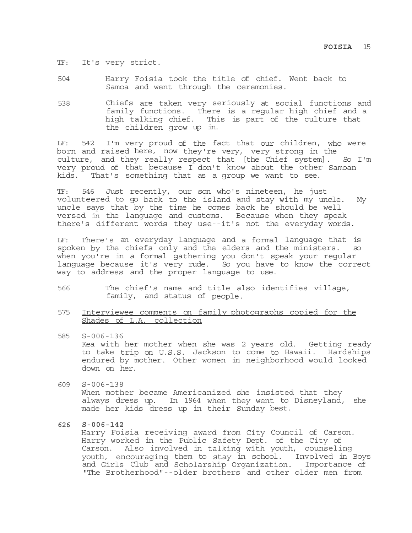- TF: It's very strict.
- 504 Harry Foisia took the title of chief. Went back to Samoa and went through the ceremonies.
- 538 Chiefs are taken very seriously at social functions and family functions. There is a regular high chief and a high talking chief. This is part of the culture that the children grow up in.

LF: 542 I'm very proud of the fact that our children, who were born and raised here, now they're very, very strong in the culture, and they really respect that [the Chief system]. So I'm very proud of that because I don't know about the other Samoan kids. That's something that as a group we want to see.

TF: 546 Just recently, our son who's nineteen, he just volunteered to go back to the island and stay with my uncle. My uncle says that by the time he comes back he should be well versed in the language and customs. Because when they speak there's different words they use--it's not the everyday words.

LF: There's an everyday language and a formal language that is spoken by the chiefs only and the elders and the ministers. so when you're in a formal gathering you don't speak your regular language because it's very rude. So you have to know the correct way to address and the proper language to use.

- 566 The chief's name and title also identifies village, family, and status of people.
- 575 Interviewee comments on family photographs copied for the Shades of L.A. collection
- 585 S-006-136 Kea with her mother when she was 2 years old. Getting ready to take trip on U.S.S. Jackson to come to Hawaii. Hardships endured by mother. Other women in neighborhood would looked down on her.
- 609 S-006-138 When mother became Americanized she insisted that they always dress up. In 1964 when they went to Disneyland, she made her kids dress up in their Sunday best.
- **626 S-006-142**

Harry Foisia receiving award from City Council of Carson. Harry worked in the Public Safety Dept. of the City of Carson. Also involved in talking with youth, counseling youth, encouraging them to stay in school. Involved in Boys and Girls Club and Scholarship Organization. Importance of "The Brotherhood"--older brothers and other older men from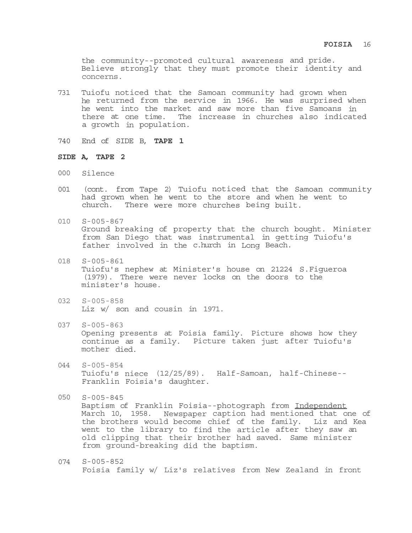the community--promoted cultural awareness and pride. Believe strongly that they must promote their identity and concerns.

- 731 Tuiofu noticed that the Samoan community had grown when he returned from the service in 1966. He was surprised when he went into the market and saw more than five Samoans in there at one time. The increase in churches also indicated a growth in population.
- 740 End of SIDE B, **TAPE 1**

### **SIDE A, TAPE 2**

- 000 Silence
- 001 (cont. from Tape 2) Tuiofu noticed that the Samoan community had grown when he went to the store and when he went to church. There were more churches being built.
- 010 S-005-867 Ground breaking of property that the church bought. Minister from San Diego that was instrumental in getting Tuiofu's father involved in the c.hurch in Long Beach.
- 018 S-005-861 Tuiofu's nephew at Minister's house on 21224 S.Figueroa (1979). There were never locks on the doors to the minister's house.
- 032 S-005-858 Liz w/ son and cousin in 1971.
- 037 S-005-863 Opening presents at Foisia family. Picture shows how they continue as a family. Picture taken just after Tuiofu's mother died.
- 044 S-005-854 Tuiofu's niece (12/25/89). Half-Samoan, half-Chinese-- Franklin Foisia's daughter.
- 050 S-005-845 Baptism of Franklin Foisia--photograph from Independent March 10, 1958. Newspaper caption had mentioned that one of the brothers would become chief of the family. Liz and Kea went to the library to find the article after they saw an old clipping that their brother had saved. Same minister from ground-breaking did the baptism.
- 074 S-005-852 Foisia family w/ Liz's relatives from New Zealand in front